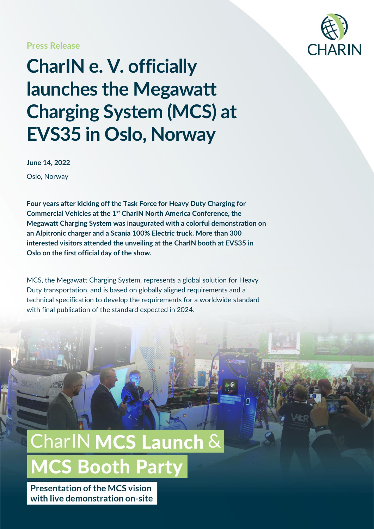#### **Press Release**



### **CharIN e. V. officially launches the Megawatt Charging System (MCS) at EVS35 in Oslo, Norway**

**June 14, 2022** Oslo, Norway

**Four years after kicking off the Task Force for Heavy Duty Charging for Commercial Vehicles at the 1st CharIN North America Conference, the Megawatt Charging System was inaugurated with a colorful demonstration on an Alpitronic charger and a Scania 100% Electric truck. More than 300 interested visitors attended the unveiling at the CharIN booth at EVS35 in Oslo on the first official day of the show.**

MCS, the Megawatt Charging System, represents a global solution for Heavy Duty transportation, and is based on globally aligned requirements and a technical specification to develop the requirements for a worldwide standard with final publication of the standard expected in 2024.

## **CharlN MCS Launch & MCS Booth Party**

**Presentation of the MCS vision** with live demonstration on-site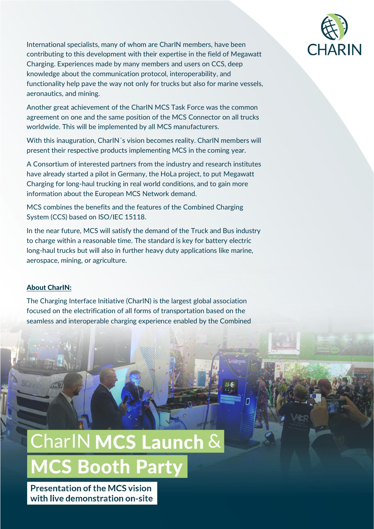

International specialists, many of whom are CharIN members, have been contributing to this development with their expertise in the field of Megawatt Charging. Experiences made by many members and users on CCS, deep knowledge about the communication protocol, interoperability, and functionality help pave the way not only for trucks but also for marine vessels, aeronautics, and mining.

Another great achievement of the CharIN MCS Task Force was the common agreement on one and the same position of the MCS Connector on all trucks worldwide. This will be implemented by all MCS manufacturers.

With this inauguration, CharIN´s vision becomes reality. CharIN members will present their respective products implementing MCS in the coming year.

A Consortium of interested partners from the industry and research institutes have already started a pilot in Germany, the HoLa project, to put Megawatt Charging for long-haul trucking in real world conditions, and to gain more information about the European MCS Network demand.

MCS combines the benefits and the features of the Combined Charging System (CCS) based on ISO/IEC 15118.

In the near future, MCS will satisfy the demand of the Truck and Bus industry to charge within a reasonable time. The standard is key for battery electric long-haul trucks but will also in further heavy duty applications like marine, aerospace, mining, or agriculture.

#### About CharIN:

The Charging Interface Initiative (CharIN) is the largest global association focused on the electrification of all forms of transportation based on the seamless and interoperable charging experience enabled by the Combined

## $CharlN$  MCS Launch  $\&$ **MCS Booth Party**

**Presentation of the MCS vision** with live demonstration on-site